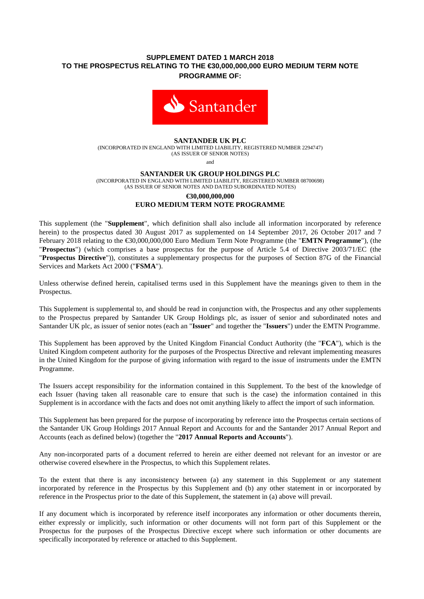# **SUPPLEMENT DATED 1 MARCH 2018 TO THE PROSPECTUS RELATING TO THE €30,000,000,000 EURO MEDIUM TERM NOTE PROGRAMME OF:**



### **SANTANDER UK PLC**

(INCORPORATED IN ENGLAND WITH LIMITED LIABILITY, REGISTERED NUMBER 2294747) (AS ISSUER OF SENIOR NOTES)

and

#### **SANTANDER UK GROUP HOLDINGS PLC**

(INCORPORATED IN ENGLAND WITH LIMITED LIABILITY, REGISTERED NUMBER 08700698) (AS ISSUER OF SENIOR NOTES AND DATED SUBORDINATED NOTES)

### **€30,000,000,000 EURO MEDIUM TERM NOTE PROGRAMME**

This supplement (the "**Supplement**", which definition shall also include all information incorporated by reference herein) to the prospectus dated 30 August 2017 as supplemented on 14 September 2017, 26 October 2017 and 7 February 2018 relating to the €30,000,000,000 Euro Medium Term Note Programme (the "**EMTN Programme**"), (the "**Prospectus**") (which comprises a base prospectus for the purpose of Article 5.4 of Directive 2003/71/EC (the "**Prospectus Directive**")), constitutes a supplementary prospectus for the purposes of Section 87G of the Financial Services and Markets Act 2000 ("**FSMA**").

Unless otherwise defined herein, capitalised terms used in this Supplement have the meanings given to them in the Prospectus.

This Supplement is supplemental to, and should be read in conjunction with, the Prospectus and any other supplements to the Prospectus prepared by Santander UK Group Holdings plc, as issuer of senior and subordinated notes and Santander UK plc, as issuer of senior notes (each an "**Issuer**" and together the "**Issuers**") under the EMTN Programme.

This Supplement has been approved by the United Kingdom Financial Conduct Authority (the "**FCA**"), which is the United Kingdom competent authority for the purposes of the Prospectus Directive and relevant implementing measures in the United Kingdom for the purpose of giving information with regard to the issue of instruments under the EMTN Programme.

The Issuers accept responsibility for the information contained in this Supplement. To the best of the knowledge of each Issuer (having taken all reasonable care to ensure that such is the case) the information contained in this Supplement is in accordance with the facts and does not omit anything likely to affect the import of such information.

This Supplement has been prepared for the purpose of incorporating by reference into the Prospectus certain sections of the Santander UK Group Holdings 2017 Annual Report and Accounts for and the Santander 2017 Annual Report and Accounts (each as defined below) (together the "**2017 Annual Reports and Accounts**").

Any non-incorporated parts of a document referred to herein are either deemed not relevant for an investor or are otherwise covered elsewhere in the Prospectus, to which this Supplement relates.

To the extent that there is any inconsistency between (a) any statement in this Supplement or any statement incorporated by reference in the Prospectus by this Supplement and (b) any other statement in or incorporated by reference in the Prospectus prior to the date of this Supplement, the statement in (a) above will prevail.

If any document which is incorporated by reference itself incorporates any information or other documents therein, either expressly or implicitly, such information or other documents will not form part of this Supplement or the Prospectus for the purposes of the Prospectus Directive except where such information or other documents are specifically incorporated by reference or attached to this Supplement.